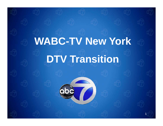# **WABC-TV N Y k TV New York DTV Transition**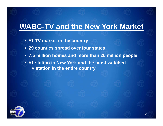#### **WABC-TV and the New York Market**

- **#1 TV k t i th t TV mar e in the coun try**
- **29 counties spread over four states**
- **7 5 million homes and more than 20 million people 7.5**

2

• **#1 station in New York and the most-watched TV station in the entire country**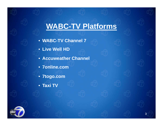# **WABC-TV Platforms**

- **WABC -TV Ch l 7 TV Channel**
- **Live Well HD**
- **Accuweather Channel**
- **7online.com**
- **7togo.com**
- **Taxi TV**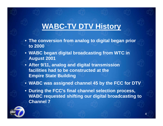# **WABC-TV DTV History**

- $\bullet\,$  The conversion from analog to digital began prior  $\,$ **to 2000**
- **WABC be gg g an di gital broadcastin g from WTC in August 2001**
- **After 9/11, analog and digital transmission facilities had to be constructed at the Empire State Building**
- **WABC was assigned channel 45 by the FCC for DTV**
- **During the FCC's final channel selection process, WABC requested shifting our digital broadcasting to Channel 7**

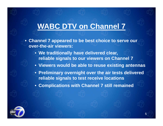#### **WABC DTV on Channel 7**

- Channel 7 appeared to be best choice to serve our **over-the-air viewers:**
	- **We traditionall y , have delivered clear, reliable signals to our viewers on Channel 7**
	- **Viewers would be able to reuse existing antennas**
	- **Preliminary overnight over the air tests delivered reliable signals to test receive locations**
	- **Complications with Channel 7 still remained**

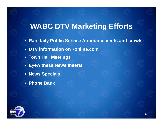# **WABC DTV Marketing Efforts**

• Ran daily Public Service Announcements and crawls

- **DTV information on 7online.com**
- **Town Hall Meetings**
- **Eyewitness News Inserts**
- **News Specials**
- **Phone Bank**

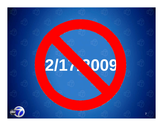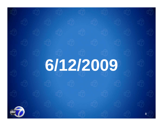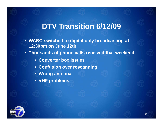#### **DTV Transition 6/12/09**

- WABC switched to digital only broadcasting at **12:30pm on June 12th**
- **Thousands of phone calls received that weekend**

- **Converter box issues**
- **Confusion over rescanning**
- **Wrong antenna**
- **VHF problems**

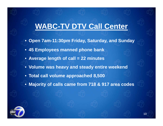#### **WABC-TV DTV Call Center**

- Open 7am-11:30pm Friday, Saturday, and Sunday
- **45 Employees manned phone bank**
- **Average length of call = 22 minutes**
- **Volume was heavy and steady entire weekend**
- **Total call volume approached 8,500**
- **Ma j y orit y of calls came from 718 & 917 area codes**

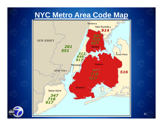#### **NYC Metro Area Code Map**



'ob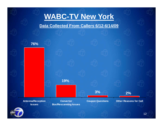# **WABC-TV New York**

**Data Collected From Callers 6/12-6/14/09**

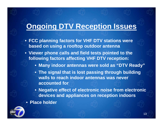# **Ongoing DTV Reception Issues**

- FCC planning factors for VHF DTV stations were **based on using a rooftop outdoor antenna**
- **Viewer phone calls and field tests pointed to the p p following factors affecting VHF DTV reception:**
	- **Many indoor antennas were sold as "DTV Ready"**
	- $\bullet\,$  The signal that is lost passing through building  $\,$ **walls to reach indoor antennas was never accounted for**
	- **Negative effect of electronic noise from electronic devices and appliances on reception indoors**
	- **Place holder**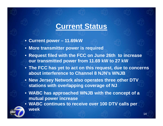#### **Current Status**

- **C t urren t power – 11 69kW 11.69kW**
- **More transmitter power is required**
- **Request filed with the FCC on June 26th to increase our transmitted power from 11.69 kW to 27 kW**
- **The FCC has yet to act on this request, due to concerns about interference to Channel 8 NJN's WNJB**
- **New Jersey Network also operates three other DTV stations with overlapping coverage of NJ coverage**
- **WABC has approached WNJB with the concept of a mutual power increase**
- **WABC ti t i 100 DTV ll WABC continues to receive over DTV calls per week**

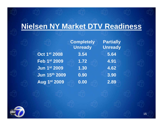### **Nielsen NY Market DTV Readiness**

**Completely Unready Oct 1st 1 2008 3 54 . 5 64 . Feb 1st 2009 1.72 4.91Jun 1st 2009 1.30 4.62Jun 15th 2009 0.90 3.90Aug 1st 2009 0.00 2.89**

**Partially Unready** 3.90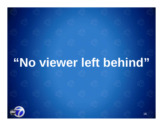# **"No viewer left behind"** 16